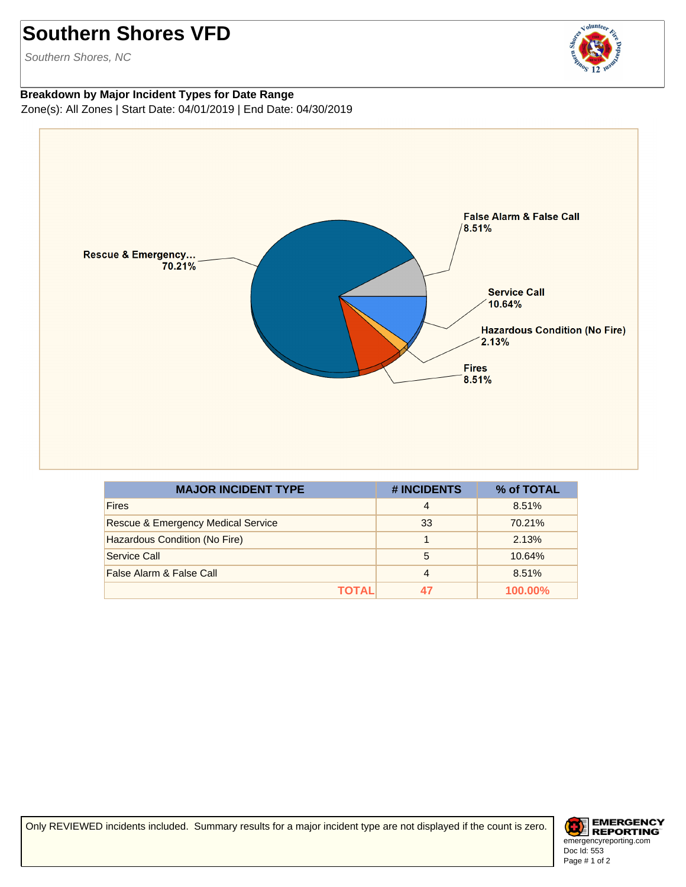## **Southern Shores VFD**

Southern Shores, NC



## **Breakdown by Major Incident Types for Date Range** Zone(s): All Zones | Start Date: 04/01/2019 | End Date: 04/30/2019



| <b>MAJOR INCIDENT TYPE</b>                    | # INCIDENTS | % of TOTAL |
|-----------------------------------------------|-------------|------------|
| <b>Fires</b>                                  | 4           | 8.51%      |
| <b>Rescue &amp; Emergency Medical Service</b> | 33          | 70.21%     |
| Hazardous Condition (No Fire)                 |             | 2.13%      |
| Service Call                                  | 5           | 10.64%     |
| False Alarm & False Call                      | 4           | 8.51%      |
| ΤΟΤΑL                                         | 47          | 100.00%    |

Only REVIEWED incidents included. Summary results for a major incident type are not displayed if the count is zero.